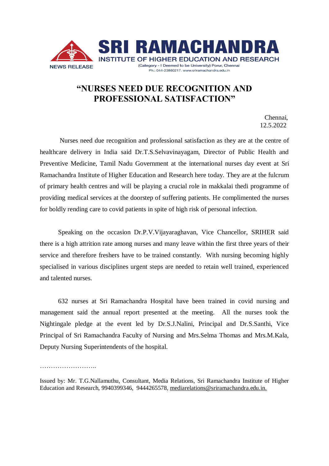

## **"NURSES NEED DUE RECOGNITION AND PROFESSIONAL SATISFACTION"**

Chennai, 12.5.2022

Nurses need due recognition and professional satisfaction as they are at the centre of healthcare delivery in India said Dr.T.S.Selvavinayagam, Director of Public Health and Preventive Medicine, Tamil Nadu Government at the international nurses day event at Sri Ramachandra Institute of Higher Education and Research here today. They are at the fulcrum of primary health centres and will be playing a crucial role in makkalai thedi programme of providing medical services at the doorstep of suffering patients. He complimented the nurses for boldly rending care to covid patients in spite of high risk of personal infection.

 Speaking on the occasion Dr.P.V.Vijayaraghavan, Vice Chancellor, SRIHER said there is a high attrition rate among nurses and many leave within the first three years of their service and therefore freshers have to be trained constantly. With nursing becoming highly specialised in various disciplines urgent steps are needed to retain well trained, experienced and talented nurses.

 632 nurses at Sri Ramachandra Hospital have been trained in covid nursing and management said the annual report presented at the meeting. All the nurses took the Nightingale pledge at the event led by Dr.S.J.Nalini, Principal and Dr.S.Santhi, Vice Principal of Sri Ramachandra Faculty of Nursing and Mrs.Selma Thomas and Mrs.M.Kala, Deputy Nursing Superintendents of the hospital.

…………………………………

Issued by: Mr. T.G.Nallamuthu, Consultant, Media Relations, Sri Ramachandra Institute of Higher Education and Research, 9940399346, 9444265578, [mediarelations@sriramachandra.edu.in.](mailto:mediarelations@sriramachandra.edu.in)